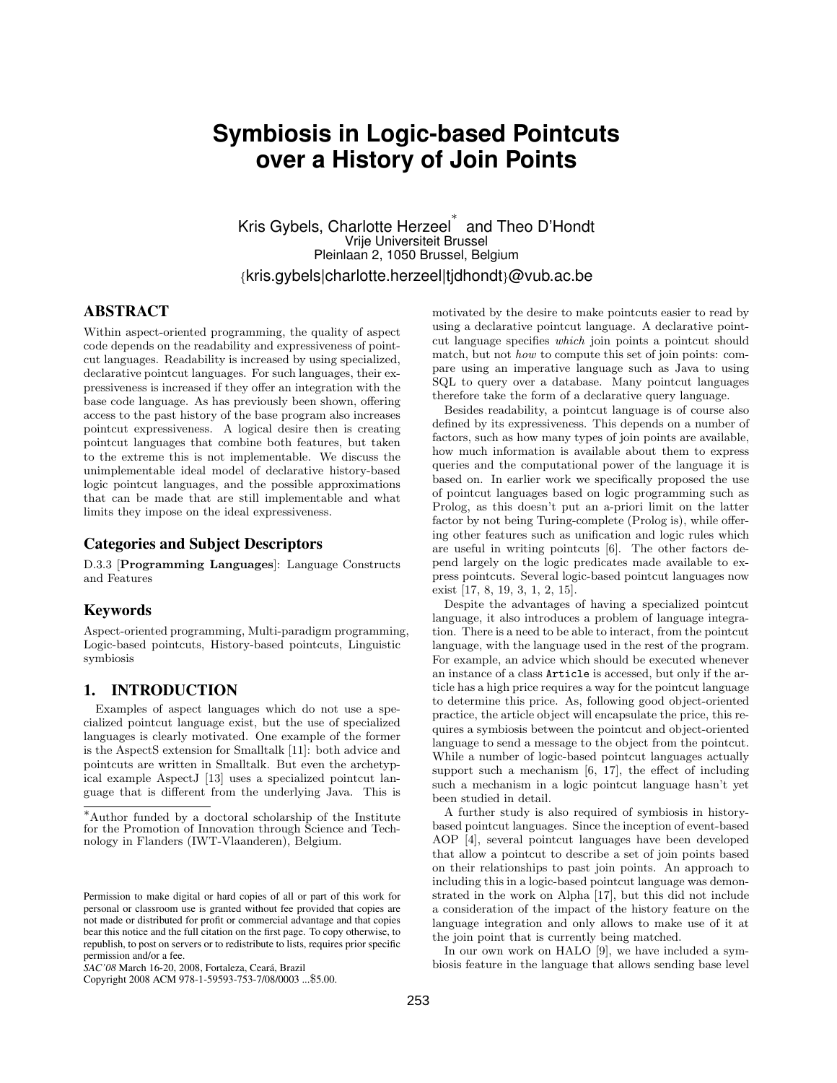# **Symbiosis in Logic-based Pointcuts over a History of Join Points**

Kris Gybels, Charlotte Herzeel ∗ and Theo D'Hondt Vrije Universiteit Brussel Pleinlaan 2, 1050 Brussel, Belgium {kris.gybels|charlotte.herzeel|tjdhondt}@vub.ac.be

# ABSTRACT

Within aspect-oriented programming, the quality of aspect code depends on the readability and expressiveness of pointcut languages. Readability is increased by using specialized, declarative pointcut languages. For such languages, their expressiveness is increased if they offer an integration with the base code language. As has previously been shown, offering access to the past history of the base program also increases pointcut expressiveness. A logical desire then is creating pointcut languages that combine both features, but taken to the extreme this is not implementable. We discuss the unimplementable ideal model of declarative history-based logic pointcut languages, and the possible approximations that can be made that are still implementable and what limits they impose on the ideal expressiveness.

### Categories and Subject Descriptors

D.3.3 [Programming Languages]: Language Constructs and Features

# Keywords

Aspect-oriented programming, Multi-paradigm programming, Logic-based pointcuts, History-based pointcuts, Linguistic symbiosis

# 1. INTRODUCTION

Examples of aspect languages which do not use a specialized pointcut language exist, but the use of specialized languages is clearly motivated. One example of the former is the AspectS extension for Smalltalk [11]: both advice and pointcuts are written in Smalltalk. But even the archetypical example AspectJ [13] uses a specialized pointcut language that is different from the underlying Java. This is

Copyright 2008 ACM 978-1-59593-753-7/08/0003 ...\$5.00.

motivated by the desire to make pointcuts easier to read by using a declarative pointcut language. A declarative pointcut language specifies which join points a pointcut should match, but not how to compute this set of join points: compare using an imperative language such as Java to using SQL to query over a database. Many pointcut languages therefore take the form of a declarative query language.

Besides readability, a pointcut language is of course also defined by its expressiveness. This depends on a number of factors, such as how many types of join points are available, how much information is available about them to express queries and the computational power of the language it is based on. In earlier work we specifically proposed the use of pointcut languages based on logic programming such as Prolog, as this doesn't put an a-priori limit on the latter factor by not being Turing-complete (Prolog is), while offering other features such as unification and logic rules which are useful in writing pointcuts [6]. The other factors depend largely on the logic predicates made available to express pointcuts. Several logic-based pointcut languages now exist [17, 8, 19, 3, 1, 2, 15].

Despite the advantages of having a specialized pointcut language, it also introduces a problem of language integration. There is a need to be able to interact, from the pointcut language, with the language used in the rest of the program. For example, an advice which should be executed whenever an instance of a class Article is accessed, but only if the article has a high price requires a way for the pointcut language to determine this price. As, following good object-oriented practice, the article object will encapsulate the price, this requires a symbiosis between the pointcut and object-oriented language to send a message to the object from the pointcut. While a number of logic-based pointcut languages actually support such a mechanism [6, 17], the effect of including such a mechanism in a logic pointcut language hasn't yet been studied in detail.

A further study is also required of symbiosis in historybased pointcut languages. Since the inception of event-based AOP [4], several pointcut languages have been developed that allow a pointcut to describe a set of join points based on their relationships to past join points. An approach to including this in a logic-based pointcut language was demonstrated in the work on Alpha [17], but this did not include a consideration of the impact of the history feature on the language integration and only allows to make use of it at the join point that is currently being matched.

In our own work on HALO [9], we have included a symbiosis feature in the language that allows sending base level

<sup>∗</sup>Author funded by a doctoral scholarship of the Institute for the Promotion of Innovation through Science and Technology in Flanders (IWT-Vlaanderen), Belgium.

Permission to make digital or hard copies of all or part of this work for personal or classroom use is granted without fee provided that copies are not made or distributed for profit or commercial advantage and that copies bear this notice and the full citation on the first page. To copy otherwise, to republish, to post on servers or to redistribute to lists, requires prior specific permission and/or a fee.

*SAC'08* March 16-20, 2008, Fortaleza, Ceara, Brazil ´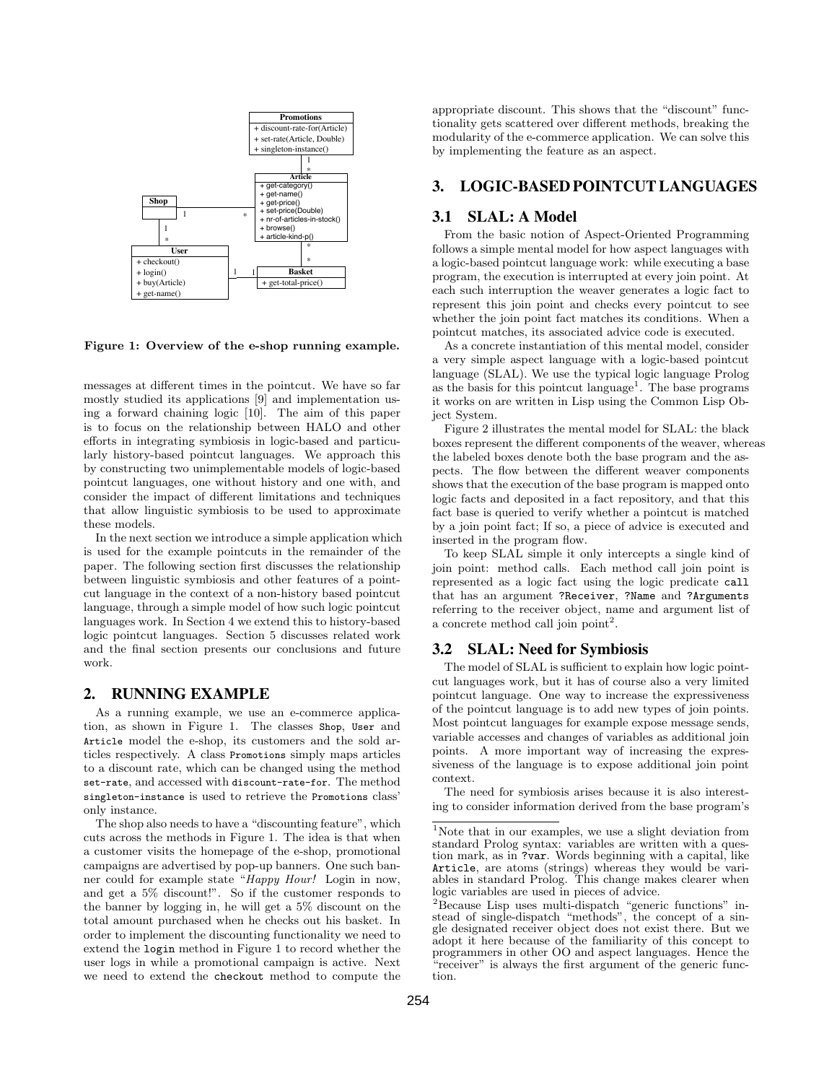

Figure 1: Overview of the e-shop running example.

messages at different times in the pointcut. We have so far mostly studied its applications [9] and implementation using a forward chaining logic [10]. The aim of this paper is to focus on the relationship between HALO and other efforts in integrating symbiosis in logic-based and particularly history-based pointcut languages. We approach this by constructing two unimplementable models of logic-based pointcut languages, one without history and one with, and consider the impact of different limitations and techniques that allow linguistic symbiosis to be used to approximate these models.

In the next section we introduce a simple application which is used for the example pointcuts in the remainder of the paper. The following section first discusses the relationship between linguistic symbiosis and other features of a pointcut language in the context of a non-history based pointcut language, through a simple model of how such logic pointcut languages work. In Section 4 we extend this to history-based logic pointcut languages. Section 5 discusses related work and the final section presents our conclusions and future work.

# 2. RUNNING EXAMPLE

As a running example, we use an e-commerce application, as shown in Figure 1. The classes Shop, User and Article model the e-shop, its customers and the sold articles respectively. A class Promotions simply maps articles to a discount rate, which can be changed using the method set-rate, and accessed with discount-rate-for. The method singleton-instance is used to retrieve the Promotions class' only instance.

The shop also needs to have a "discounting feature", which cuts across the methods in Figure 1. The idea is that when a customer visits the homepage of the e-shop, promotional campaigns are advertised by pop-up banners. One such banner could for example state "Happy Hour! Login in now, and get a 5% discount!". So if the customer responds to the banner by logging in, he will get a 5% discount on the total amount purchased when he checks out his basket. In order to implement the discounting functionality we need to extend the login method in Figure 1 to record whether the user logs in while a promotional campaign is active. Next we need to extend the checkout method to compute the

appropriate discount. This shows that the "discount" functionality gets scattered over different methods, breaking the modularity of the e-commerce application. We can solve this by implementing the feature as an aspect.

# 3. LOGIC-BASED POINTCUT LANGUAGES

### 3.1 SLAL: A Model

From the basic notion of Aspect-Oriented Programming follows a simple mental model for how aspect languages with a logic-based pointcut language work: while executing a base program, the execution is interrupted at every join point. At each such interruption the weaver generates a logic fact to represent this join point and checks every pointcut to see whether the join point fact matches its conditions. When a pointcut matches, its associated advice code is executed.

As a concrete instantiation of this mental model, consider a very simple aspect language with a logic-based pointcut language (SLAL). We use the typical logic language Prolog as the basis for this pointcut language<sup>1</sup>. The base programs it works on are written in Lisp using the Common Lisp Object System.

Figure 2 illustrates the mental model for SLAL: the black boxes represent the different components of the weaver, whereas the labeled boxes denote both the base program and the aspects. The flow between the different weaver components shows that the execution of the base program is mapped onto logic facts and deposited in a fact repository, and that this fact base is queried to verify whether a pointcut is matched by a join point fact; If so, a piece of advice is executed and inserted in the program flow.

To keep SLAL simple it only intercepts a single kind of join point: method calls. Each method call join point is represented as a logic fact using the logic predicate call that has an argument ?Receiver, ?Name and ?Arguments referring to the receiver object, name and argument list of a concrete method call join point<sup>2</sup>.

#### 3.2 SLAL: Need for Symbiosis

The model of SLAL is sufficient to explain how logic pointcut languages work, but it has of course also a very limited pointcut language. One way to increase the expressiveness of the pointcut language is to add new types of join points. Most pointcut languages for example expose message sends, variable accesses and changes of variables as additional join points. A more important way of increasing the expressiveness of the language is to expose additional join point context.

The need for symbiosis arises because it is also interesting to consider information derived from the base program's

<sup>1</sup>Note that in our examples, we use a slight deviation from standard Prolog syntax: variables are written with a question mark, as in ?var. Words beginning with a capital, like Article, are atoms (strings) whereas they would be variables in standard Prolog. This change makes clearer when logic variables are used in pieces of advice.

<sup>&</sup>lt;sup>2</sup>Because Lisp uses multi-dispatch "generic functions" instead of single-dispatch "methods", the concept of a single designated receiver object does not exist there. But we adopt it here because of the familiarity of this concept to programmers in other OO and aspect languages. Hence the 'receiver" is always the first argument of the generic function.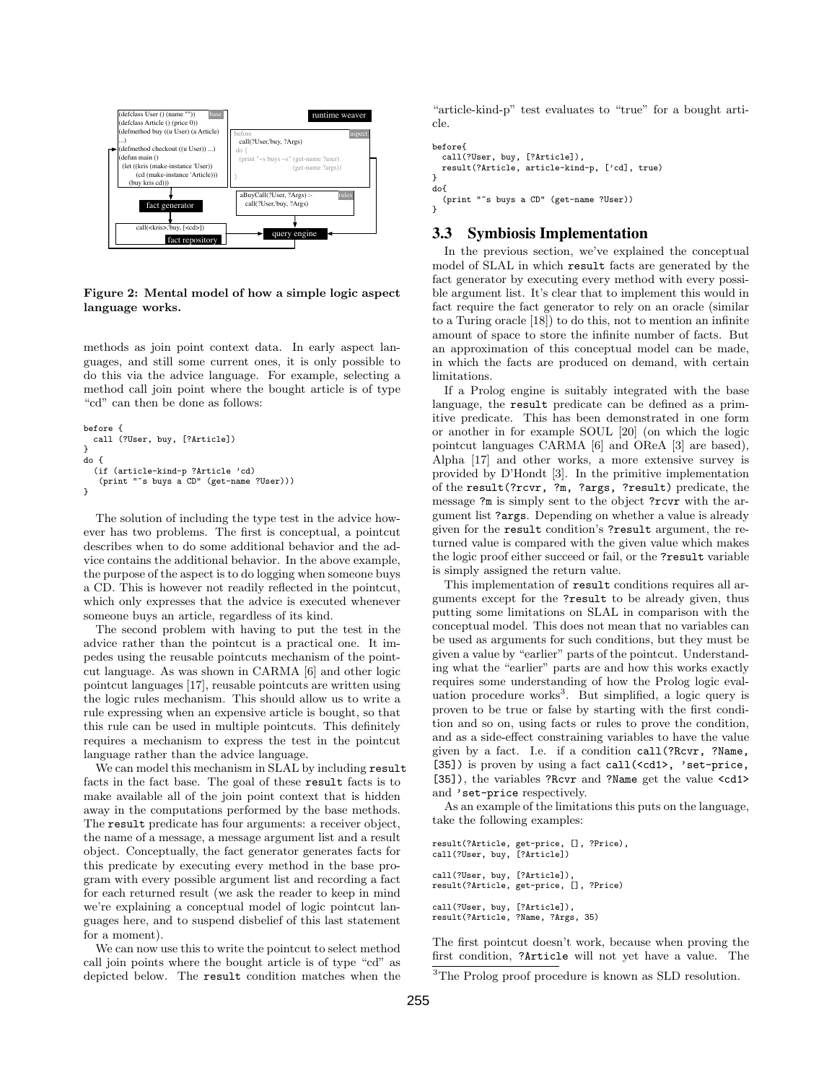

Figure 2: Mental model of how a simple logic aspect language works.

methods as join point context data. In early aspect languages, and still some current ones, it is only possible to do this via the advice language. For example, selecting a method call join point where the bought article is of type "cd" can then be done as follows:

```
before {
 call (?User, buy, [?Article])
}
do {
  (if (article-kind-p ?Article 'cd)
   (print "~s buys a CD" (get-name ?User)))
}
```
The solution of including the type test in the advice however has two problems. The first is conceptual, a pointcut describes when to do some additional behavior and the advice contains the additional behavior. In the above example, the purpose of the aspect is to do logging when someone buys a CD. This is however not readily reflected in the pointcut, which only expresses that the advice is executed whenever someone buys an article, regardless of its kind.

The second problem with having to put the test in the advice rather than the pointcut is a practical one. It impedes using the reusable pointcuts mechanism of the pointcut language. As was shown in CARMA [6] and other logic pointcut languages [17], reusable pointcuts are written using the logic rules mechanism. This should allow us to write a rule expressing when an expensive article is bought, so that this rule can be used in multiple pointcuts. This definitely requires a mechanism to express the test in the pointcut language rather than the advice language.

We can model this mechanism in SLAL by including result facts in the fact base. The goal of these result facts is to make available all of the join point context that is hidden away in the computations performed by the base methods. The result predicate has four arguments: a receiver object, the name of a message, a message argument list and a result object. Conceptually, the fact generator generates facts for this predicate by executing every method in the base program with every possible argument list and recording a fact for each returned result (we ask the reader to keep in mind we're explaining a conceptual model of logic pointcut languages here, and to suspend disbelief of this last statement for a moment).

We can now use this to write the pointcut to select method call join points where the bought article is of type "cd" as depicted below. The result condition matches when the

"article-kind-p" test evaluates to "true" for a bought article.

```
before{
 call(?User, buy, [?Article]),
 result(?Article, article-kind-p, ['cd], true)
}
do{
  (print "~s buys a CD" (get-name ?User))
}
```
# 3.3 Symbiosis Implementation

In the previous section, we've explained the conceptual model of SLAL in which result facts are generated by the fact generator by executing every method with every possible argument list. It's clear that to implement this would in fact require the fact generator to rely on an oracle (similar to a Turing oracle [18]) to do this, not to mention an infinite amount of space to store the infinite number of facts. But an approximation of this conceptual model can be made, in which the facts are produced on demand, with certain limitations.

If a Prolog engine is suitably integrated with the base language, the result predicate can be defined as a primitive predicate. This has been demonstrated in one form or another in for example SOUL [20] (on which the logic pointcut languages CARMA [6] and OReA [3] are based), Alpha [17] and other works, a more extensive survey is provided by D'Hondt [3]. In the primitive implementation of the result(?rcvr, ?m, ?args, ?result) predicate, the message ?m is simply sent to the object ?rcvr with the argument list ?args. Depending on whether a value is already given for the result condition's ?result argument, the returned value is compared with the given value which makes the logic proof either succeed or fail, or the ?result variable is simply assigned the return value.

This implementation of result conditions requires all arguments except for the ?result to be already given, thus putting some limitations on SLAL in comparison with the conceptual model. This does not mean that no variables can be used as arguments for such conditions, but they must be given a value by "earlier" parts of the pointcut. Understanding what the "earlier" parts are and how this works exactly requires some understanding of how the Prolog logic evaluation procedure works<sup>3</sup>. But simplified, a logic query is proven to be true or false by starting with the first condition and so on, using facts or rules to prove the condition, and as a side-effect constraining variables to have the value given by a fact. I.e. if a condition call(?Rcvr, ?Name, [35]) is proven by using a fact call(<cd1>, 'set-price, [35]), the variables ?Rcvr and ?Name get the value <cd1> and 'set-price respectively.

As an example of the limitations this puts on the language, take the following examples:

```
result(?Article, get-price, [], ?Price),
call(?User, buy, [?Article])
call(?User, buy, [?Article]),
result(?Article, get-price, [], ?Price)
call(?User, buy, [?Article]),
result(?Article, ?Name, ?Args, 35)
```
The first pointcut doesn't work, because when proving the first condition, ?Article will not yet have a value. The

 $^3\mathrm{The}$  Prolog proof procedure is known as SLD resolution.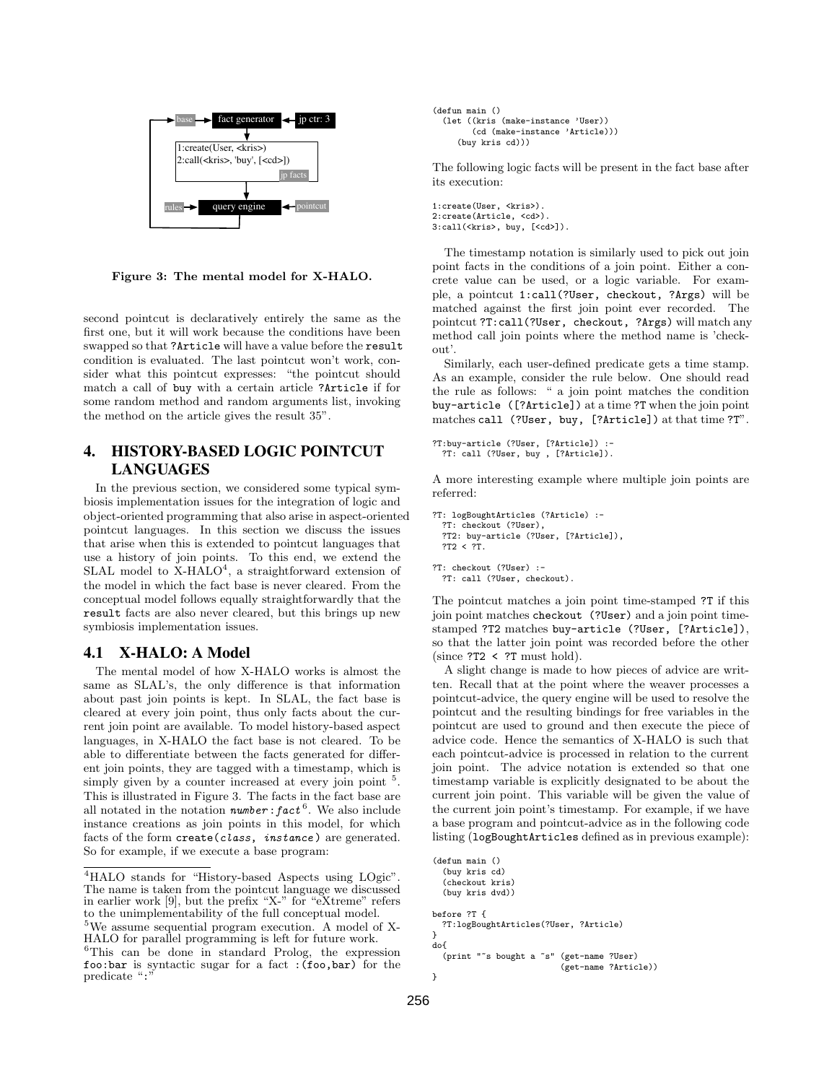

Figure 3: The mental model for X-HALO.

second pointcut is declaratively entirely the same as the first one, but it will work because the conditions have been swapped so that ?Article will have a value before the result condition is evaluated. The last pointcut won't work, consider what this pointcut expresses: "the pointcut should match a call of buy with a certain article ?Article if for some random method and random arguments list, invoking the method on the article gives the result 35".

# 4. HISTORY-BASED LOGIC POINTCUT LANGUAGES

In the previous section, we considered some typical symbiosis implementation issues for the integration of logic and object-oriented programming that also arise in aspect-oriented pointcut languages. In this section we discuss the issues that arise when this is extended to pointcut languages that use a history of join points. To this end, we extend the SLAL model to  $X$ -HALO<sup>4</sup>, a straightforward extension of the model in which the fact base is never cleared. From the conceptual model follows equally straightforwardly that the result facts are also never cleared, but this brings up new symbiosis implementation issues.

# 4.1 X-HALO: A Model

The mental model of how X-HALO works is almost the same as SLAL's, the only difference is that information about past join points is kept. In SLAL, the fact base is cleared at every join point, thus only facts about the current join point are available. To model history-based aspect languages, in X-HALO the fact base is not cleared. To be able to differentiate between the facts generated for different join points, they are tagged with a timestamp, which is simply given by a counter increased at every join point  $^5$ . This is illustrated in Figure 3. The facts in the fact base are all notated in the notation  $\mathit{number}: \mathit{fact}^{\,6}.$  We also include instance creations as join points in this model, for which facts of the form create(class, instance ) are generated. So for example, if we execute a base program:

```
(defun main ()
  (let ((kris (make-instance 'User))
        (cd (make-instance 'Article)))
     (buy kris cd)))
```
The following logic facts will be present in the fact base after its execution:

1:create(User, <kris>). 2:create(Article, <cd>). 3:call(<kris>, buy, [<cd>]).

The timestamp notation is similarly used to pick out join point facts in the conditions of a join point. Either a concrete value can be used, or a logic variable. For example, a pointcut 1:call(?User, checkout, ?Args) will be matched against the first join point ever recorded. The pointcut ?T:call(?User, checkout, ?Args) will match any method call join points where the method name is 'checkout'.

Similarly, each user-defined predicate gets a time stamp. As an example, consider the rule below. One should read the rule as follows: " a join point matches the condition buy-article ([?Article]) at a time ?T when the join point matches call (?User, buy, [?Article]) at that time ?T".

```
?T:buy-article (?User, [?Article]) :-
 ?T: call (?User, buy , [?Article]).
```
A more interesting example where multiple join points are referred:

?T: logBoughtArticles (?Article) :- ?T: checkout (?User), ?T2: buy-article (?User, [?Article]), ?T2 < ?T.

?T: checkout (?User) :-

?T: call (?User, checkout).

The pointcut matches a join point time-stamped ?T if this join point matches checkout (?User) and a join point timestamped ?T2 matches buy-article (?User, [?Article]), so that the latter join point was recorded before the other  $(since ?T2 < ?T must hold).$ 

A slight change is made to how pieces of advice are written. Recall that at the point where the weaver processes a pointcut-advice, the query engine will be used to resolve the pointcut and the resulting bindings for free variables in the pointcut are used to ground and then execute the piece of advice code. Hence the semantics of X-HALO is such that each pointcut-advice is processed in relation to the current join point. The advice notation is extended so that one timestamp variable is explicitly designated to be about the current join point. This variable will be given the value of the current join point's timestamp. For example, if we have a base program and pointcut-advice as in the following code listing (logBoughtArticles defined as in previous example):

```
(defun main ()
  (buy kris cd)
  (checkout kris)
  (buy kris dvd))
before ?T {
 ?T:logBoughtArticles(?User, ?Article)
}
do{
  (print "~s bought a ~s" (get-name ?User)
                           (get-name ?Article))
}
```
<sup>4</sup>HALO stands for "History-based Aspects using LOgic". The name is taken from the pointcut language we discussed in earlier work [9], but the prefix "X-" for "eXtreme" refers to the unimplementability of the full conceptual model. <sup>5</sup>We assume sequential program execution. A model of X-HALO for parallel programming is left for future work. <sup>6</sup>This can be done in standard Prolog, the expression

foo:bar is syntactic sugar for a fact :(foo,bar) for the predicate ":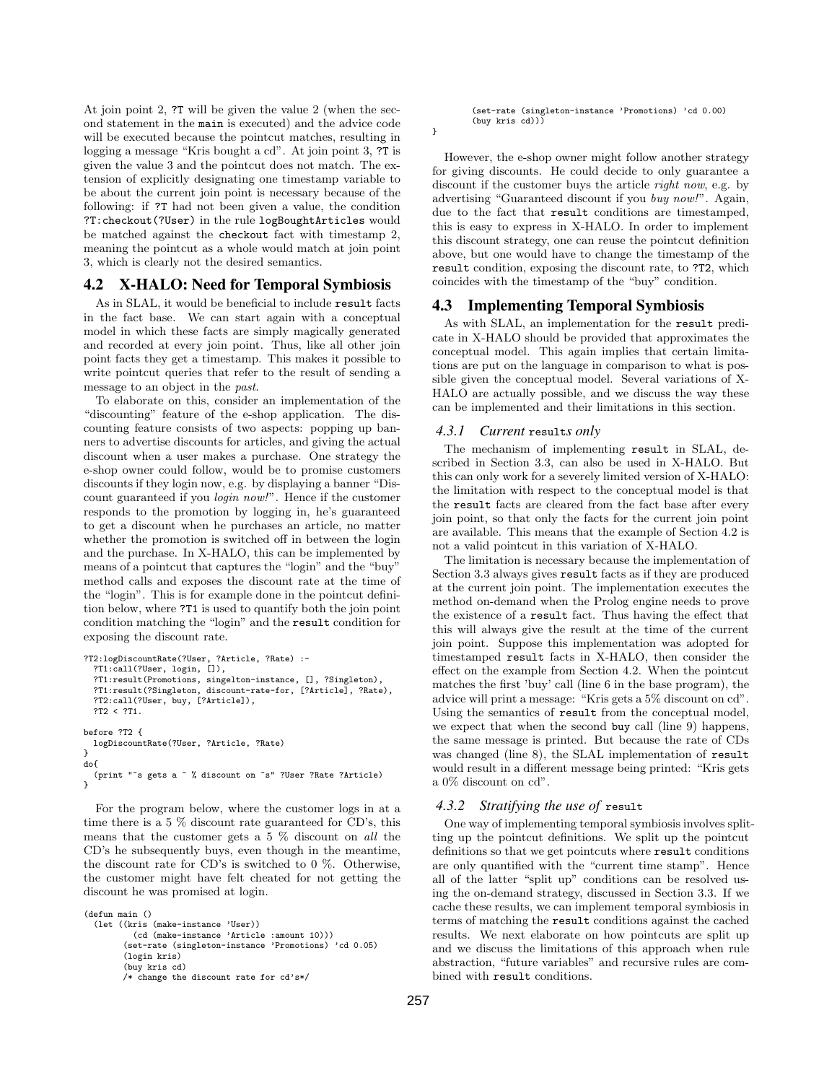At join point 2, ?T will be given the value 2 (when the second statement in the main is executed) and the advice code will be executed because the pointcut matches, resulting in logging a message "Kris bought a cd". At join point 3, ?T is given the value 3 and the pointcut does not match. The extension of explicitly designating one timestamp variable to be about the current join point is necessary because of the following: if ?T had not been given a value, the condition ?T:checkout(?User) in the rule logBoughtArticles would be matched against the checkout fact with timestamp 2, meaning the pointcut as a whole would match at join point 3, which is clearly not the desired semantics.

# 4.2 X-HALO: Need for Temporal Symbiosis

As in SLAL, it would be beneficial to include result facts in the fact base. We can start again with a conceptual model in which these facts are simply magically generated and recorded at every join point. Thus, like all other join point facts they get a timestamp. This makes it possible to write pointcut queries that refer to the result of sending a message to an object in the past.

To elaborate on this, consider an implementation of the "discounting" feature of the e-shop application. The discounting feature consists of two aspects: popping up banners to advertise discounts for articles, and giving the actual discount when a user makes a purchase. One strategy the e-shop owner could follow, would be to promise customers discounts if they login now, e.g. by displaying a banner "Discount guaranteed if you login now!". Hence if the customer responds to the promotion by logging in, he's guaranteed to get a discount when he purchases an article, no matter whether the promotion is switched off in between the login and the purchase. In X-HALO, this can be implemented by means of a pointcut that captures the "login" and the "buy" method calls and exposes the discount rate at the time of the "login". This is for example done in the pointcut definition below, where ?T1 is used to quantify both the join point condition matching the "login" and the result condition for exposing the discount rate.

```
?T2:logDiscountRate(?User, ?Article, ?Rate) :-
  ?T1:call(?User, login, []),
  ?T1:result(Promotions, singelton-instance, [], ?Singleton),
  ?T1:result(?Singleton, discount-rate-for, [?Article], ?Rate),
  ?T2:call(?User, buy, [?Article]),
  ?T2 < ?T1.
before ?T2 {
  logDiscountRate(?User, ?Article, ?Rate)
}
do{
  (print "~s gets a ~ % discount on ~s" ?User ?Rate ?Article)
}
```
For the program below, where the customer logs in at a time there is a 5 % discount rate guaranteed for CD's, this means that the customer gets a 5 % discount on all the CD's he subsequently buys, even though in the meantime, the discount rate for CD's is switched to 0 %. Otherwise, the customer might have felt cheated for not getting the discount he was promised at login.

```
(defun main ()
  (let ((kris (make-instance 'User))
          (cd (make-instance 'Article :amount 10)))
        (set-rate (singleton-instance 'Promotions) 'cd 0.05)
        (login kris)
        (buy kris cd)
        /* change the discount rate for cd's*/
```
(set-rate (singleton-instance 'Promotions) 'cd 0.00) (buy kris cd)))

However, the e-shop owner might follow another strategy for giving discounts. He could decide to only guarantee a discount if the customer buys the article right now, e.g. by advertising "Guaranteed discount if you buy now!". Again, due to the fact that result conditions are timestamped, this is easy to express in X-HALO. In order to implement this discount strategy, one can reuse the pointcut definition above, but one would have to change the timestamp of the result condition, exposing the discount rate, to ?T2, which coincides with the timestamp of the "buy" condition.

#### 4.3 Implementing Temporal Symbiosis

As with SLAL, an implementation for the result predicate in X-HALO should be provided that approximates the conceptual model. This again implies that certain limitations are put on the language in comparison to what is possible given the conceptual model. Several variations of X-HALO are actually possible, and we discuss the way these can be implemented and their limitations in this section.

#### *4.3.1 Current* result*s only*

}

The mechanism of implementing result in SLAL, described in Section 3.3, can also be used in X-HALO. But this can only work for a severely limited version of X-HALO: the limitation with respect to the conceptual model is that the result facts are cleared from the fact base after every join point, so that only the facts for the current join point are available. This means that the example of Section 4.2 is not a valid pointcut in this variation of X-HALO.

The limitation is necessary because the implementation of Section 3.3 always gives result facts as if they are produced at the current join point. The implementation executes the method on-demand when the Prolog engine needs to prove the existence of a result fact. Thus having the effect that this will always give the result at the time of the current join point. Suppose this implementation was adopted for timestamped result facts in X-HALO, then consider the effect on the example from Section 4.2. When the pointcut matches the first 'buy' call (line 6 in the base program), the advice will print a message: "Kris gets a 5% discount on cd". Using the semantics of result from the conceptual model, we expect that when the second buy call (line 9) happens, the same message is printed. But because the rate of CDs was changed (line 8), the SLAL implementation of result would result in a different message being printed: "Kris gets a 0% discount on cd".

## *4.3.2 Stratifying the use of* result

One way of implementing temporal symbiosis involves splitting up the pointcut definitions. We split up the pointcut definitions so that we get pointcuts where result conditions are only quantified with the "current time stamp". Hence all of the latter "split up" conditions can be resolved using the on-demand strategy, discussed in Section 3.3. If we cache these results, we can implement temporal symbiosis in terms of matching the result conditions against the cached results. We next elaborate on how pointcuts are split up and we discuss the limitations of this approach when rule abstraction, "future variables" and recursive rules are combined with result conditions.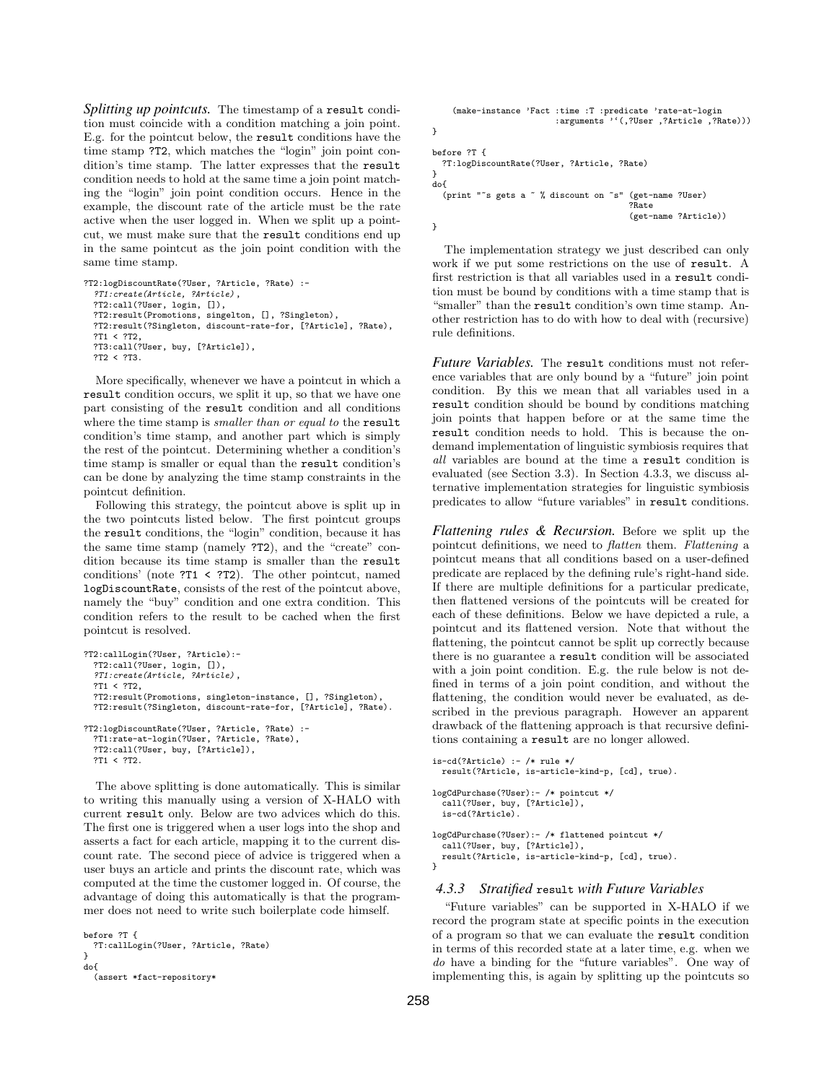*Splitting up pointcuts.* The timestamp of a result condition must coincide with a condition matching a join point. E.g. for the pointcut below, the result conditions have the time stamp ?T2, which matches the "login" join point condition's time stamp. The latter expresses that the result condition needs to hold at the same time a join point matching the "login" join point condition occurs. Hence in the example, the discount rate of the article must be the rate active when the user logged in. When we split up a pointcut, we must make sure that the result conditions end up in the same pointcut as the join point condition with the same time stamp.

```
?T2:logDiscountRate(?User, ?Article, ?Rate) :-
  ?T1:create(Article, ?Article) ,
  ?T2:call(?User, login, []),
 ?T2:result(Promotions, singelton, [], ?Singleton),
 ?T2:result(?Singleton, discount-rate-for, [?Article], ?Rate),
 ?T1 < ?T2,
  ?T3:call(?User, buy, [?Article]),
 ?T2 < ?T3.
```
More specifically, whenever we have a pointcut in which a result condition occurs, we split it up, so that we have one part consisting of the result condition and all conditions where the time stamp is smaller than or equal to the result condition's time stamp, and another part which is simply the rest of the pointcut. Determining whether a condition's time stamp is smaller or equal than the result condition's can be done by analyzing the time stamp constraints in the pointcut definition.

Following this strategy, the pointcut above is split up in the two pointcuts listed below. The first pointcut groups the result conditions, the "login" condition, because it has the same time stamp (namely ?T2), and the "create" condition because its time stamp is smaller than the result conditions' (note  $2T1 \leq 2T2$ ). The other pointcut, named logDiscountRate, consists of the rest of the pointcut above, namely the "buy" condition and one extra condition. This condition refers to the result to be cached when the first pointcut is resolved.

```
?T2:callLogin(?User, ?Article):-
  ?T2:call(?User, login, []),
  ?T1:create(Article, ?Article) ,
  ?T1 < ?T2,
  ?T2:result(Promotions, singleton-instance, [], ?Singleton),
 ?T2:result(?Singleton, discount-rate-for, [?Article], ?Rate).
?T2:logDiscountRate(?User, ?Article, ?Rate) :-
  ?T1:rate-at-login(?User, ?Article, ?Rate),
  ?T2:call(?User, buy, [?Article]),
 ?T1 < ?T2.
```
The above splitting is done automatically. This is similar to writing this manually using a version of X-HALO with current result only. Below are two advices which do this. The first one is triggered when a user logs into the shop and asserts a fact for each article, mapping it to the current discount rate. The second piece of advice is triggered when a user buys an article and prints the discount rate, which was computed at the time the customer logged in. Of course, the advantage of doing this automatically is that the programmer does not need to write such boilerplate code himself.

```
before ?T {
 ?T:callLogin(?User, ?Article, ?Rate)
}
do{
  (assert *fact-repository*
```

```
(make-instance 'Fact :time :T :predicate 'rate-at-login
:arguments ''(,?User ,?Article ,?Rate)))
}
before ?T {
```

```
?T:logDiscountRate(?User, ?Article, ?Rate)
}
do{
  (print "~s gets a ~ % discount on ~s" (get-name ?User)
                                         ?Rate
                                         (get-name ?Article))
}
```
The implementation strategy we just described can only work if we put some restrictions on the use of result. A first restriction is that all variables used in a result condition must be bound by conditions with a time stamp that is "smaller" than the result condition's own time stamp. Another restriction has to do with how to deal with (recursive) rule definitions.

*Future Variables.* The result conditions must not reference variables that are only bound by a "future" join point condition. By this we mean that all variables used in a result condition should be bound by conditions matching join points that happen before or at the same time the result condition needs to hold. This is because the ondemand implementation of linguistic symbiosis requires that all variables are bound at the time a result condition is evaluated (see Section 3.3). In Section 4.3.3, we discuss alternative implementation strategies for linguistic symbiosis predicates to allow "future variables" in result conditions.

*Flattening rules & Recursion.* Before we split up the pointcut definitions, we need to flatten them. Flattening a pointcut means that all conditions based on a user-defined predicate are replaced by the defining rule's right-hand side. If there are multiple definitions for a particular predicate, then flattened versions of the pointcuts will be created for each of these definitions. Below we have depicted a rule, a pointcut and its flattened version. Note that without the flattening, the pointcut cannot be split up correctly because there is no guarantee a result condition will be associated with a join point condition. E.g. the rule below is not defined in terms of a join point condition, and without the flattening, the condition would never be evaluated, as described in the previous paragraph. However an apparent drawback of the flattening approach is that recursive definitions containing a result are no longer allowed.

```
is-cd(?Article) :- /* rule */
 result(?Article, is-article-kind-p, [cd], true).
logCdPurchase(?User):- /* pointcut */
 call(?User, buy, [?Article]),
 is-cd(?Article).
logCdPurchase(?User):- /* flattened pointcut */
 call(?User, buy, [?Article]),
 result(?Article, is-article-kind-p, [cd], true).
}
```
#### *4.3.3 Stratified* result *with Future Variables*

"Future variables" can be supported in X-HALO if we record the program state at specific points in the execution of a program so that we can evaluate the result condition in terms of this recorded state at a later time, e.g. when we do have a binding for the "future variables". One way of implementing this, is again by splitting up the pointcuts so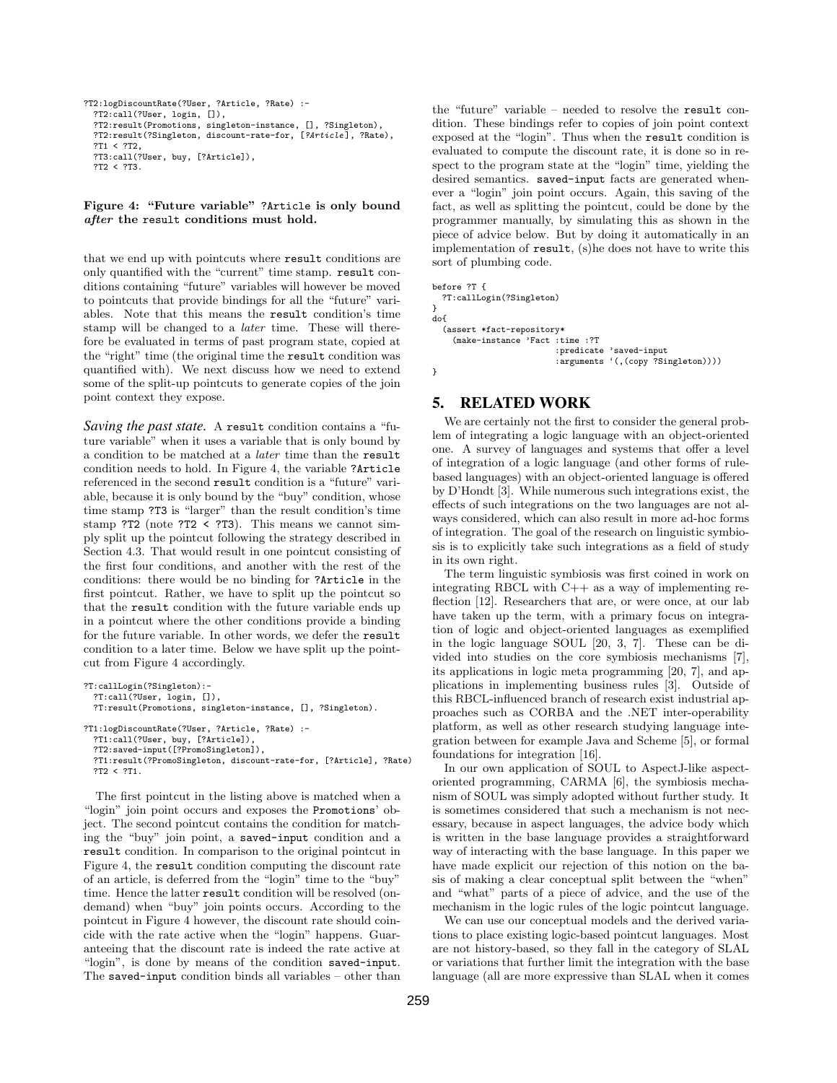```
?T2:logDiscountRate(?User, ?Article, ?Rate) :-
  ?T2:call(?User, login, []),
  ?T2:result(Promotions, singleton-instance, [], ?Singleton),
 ?T2:result(?Singleton, discount-rate-for, [?Article], ?Rate),
 ?T1 < ?T2,
 ?T3:call(?User, buy, [?Article]),
 ?T2 < ?T3.
```
#### Figure 4: "Future variable" ?Article is only bound after the result conditions must hold.

that we end up with pointcuts where result conditions are only quantified with the "current" time stamp. result conditions containing "future" variables will however be moved to pointcuts that provide bindings for all the "future" variables. Note that this means the result condition's time stamp will be changed to a later time. These will therefore be evaluated in terms of past program state, copied at the "right" time (the original time the result condition was quantified with). We next discuss how we need to extend some of the split-up pointcuts to generate copies of the join point context they expose.

*Saving the past state.* A result condition contains a "future variable" when it uses a variable that is only bound by a condition to be matched at a later time than the result condition needs to hold. In Figure 4, the variable ?Article referenced in the second result condition is a "future" variable, because it is only bound by the "buy" condition, whose time stamp ?T3 is "larger" than the result condition's time stamp ?T2 (note ?T2  $\lt$  ?T3). This means we cannot simply split up the pointcut following the strategy described in Section 4.3. That would result in one pointcut consisting of the first four conditions, and another with the rest of the conditions: there would be no binding for ?Article in the first pointcut. Rather, we have to split up the pointcut so that the result condition with the future variable ends up in a pointcut where the other conditions provide a binding for the future variable. In other words, we defer the result condition to a later time. Below we have split up the pointcut from Figure 4 accordingly.

```
?T:callLogin(?Singleton):-
  ?T:call(?User, login, []),
  ?T:result(Promotions, singleton-instance, [], ?Singleton).
?T1:logDiscountRate(?User, ?Article, ?Rate) :-
  ?T1:call(?User, buy, [?Article]),
  ?T2:saved-input([?PromoSingleton]),
 ?T1:result(?PromoSingleton, discount-rate-for, [?Article], ?Rate)
 ?T2 < ?T1.
```
The first pointcut in the listing above is matched when a "login" join point occurs and exposes the Promotions' object. The second pointcut contains the condition for matching the "buy" join point, a saved-input condition and a result condition. In comparison to the original pointcut in Figure 4, the result condition computing the discount rate of an article, is deferred from the "login" time to the "buy" time. Hence the latter result condition will be resolved (ondemand) when "buy" join points occurs. According to the pointcut in Figure 4 however, the discount rate should coincide with the rate active when the "login" happens. Guaranteeing that the discount rate is indeed the rate active at "login", is done by means of the condition saved-input. The saved-input condition binds all variables – other than

the "future" variable – needed to resolve the result condition. These bindings refer to copies of join point context exposed at the "login". Thus when the result condition is evaluated to compute the discount rate, it is done so in respect to the program state at the "login" time, yielding the desired semantics. saved-input facts are generated whenever a "login" join point occurs. Again, this saving of the fact, as well as splitting the pointcut, could be done by the programmer manually, by simulating this as shown in the piece of advice below. But by doing it automatically in an implementation of result, (s)he does not have to write this sort of plumbing code.

```
before ?T {
 ?T:callLogin(?Singleton)
}
do{
  (assert *fact-repository*
    (make-instance 'Fact :time :?T
                         :predicate 'saved-input
                         :arguments '(,(copy ?Singleton))))
}
```
# 5. RELATED WORK

We are certainly not the first to consider the general problem of integrating a logic language with an object-oriented one. A survey of languages and systems that offer a level of integration of a logic language (and other forms of rulebased languages) with an object-oriented language is offered by D'Hondt [3]. While numerous such integrations exist, the effects of such integrations on the two languages are not always considered, which can also result in more ad-hoc forms of integration. The goal of the research on linguistic symbiosis is to explicitly take such integrations as a field of study in its own right.

The term linguistic symbiosis was first coined in work on integrating RBCL with C++ as a way of implementing reflection [12]. Researchers that are, or were once, at our lab have taken up the term, with a primary focus on integration of logic and object-oriented languages as exemplified in the logic language SOUL [20, 3, 7]. These can be divided into studies on the core symbiosis mechanisms [7], its applications in logic meta programming [20, 7], and applications in implementing business rules [3]. Outside of this RBCL-influenced branch of research exist industrial approaches such as CORBA and the .NET inter-operability platform, as well as other research studying language integration between for example Java and Scheme [5], or formal foundations for integration [16].

In our own application of SOUL to AspectJ-like aspectoriented programming, CARMA [6], the symbiosis mechanism of SOUL was simply adopted without further study. It is sometimes considered that such a mechanism is not necessary, because in aspect languages, the advice body which is written in the base language provides a straightforward way of interacting with the base language. In this paper we have made explicit our rejection of this notion on the basis of making a clear conceptual split between the "when" and "what" parts of a piece of advice, and the use of the mechanism in the logic rules of the logic pointcut language.

We can use our conceptual models and the derived variations to place existing logic-based pointcut languages. Most are not history-based, so they fall in the category of SLAL or variations that further limit the integration with the base language (all are more expressive than SLAL when it comes